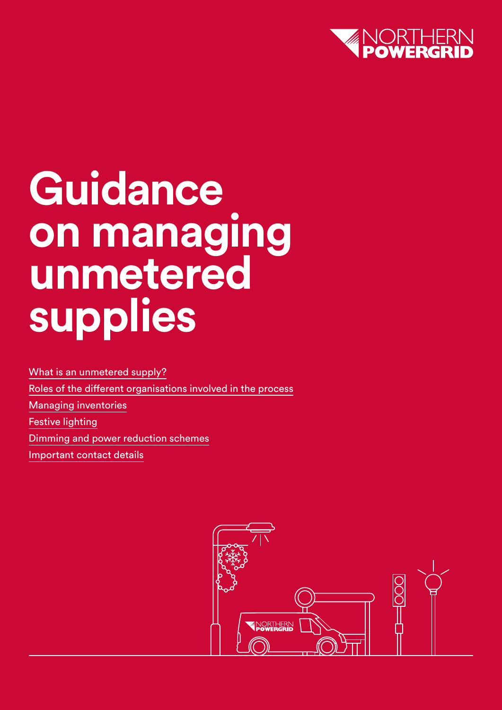

# **Guidance on managing unmetered supplies**

[What is an unmetered supply?](#page-1-0) [Roles of the different organisations involved in the process](#page-2-0) [Managing inventories](#page-3-0) [Festive lighting](#page-4-0)  [Dimming and power reduction schemes](#page-4-0) [Important contact details](#page-4-0) 

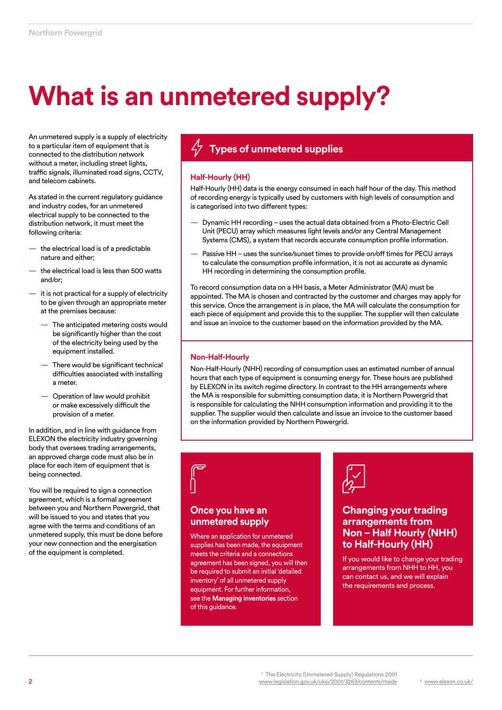# <span id="page-1-0"></span>**What is an unmetered supply?**

An unmetered supply is a supply of electricity to a particular item of equipment that is connected to the distribution network without a meter, including street lights, traffic signals, illuminated road signs, CCTV, and telecom cabinets.

As stated in the current regulatory guidance and industry codes, for an unmetered electrical supply to be connected to the distribution network, it must meet the following criteria:

- the electrical load is of a predictable nature and either;
- the electrical load is less than 500 watts and/or;
- it is not practical for a supply of electricity to be given through an appropriate meter at the premises because:
	- The anticipated metering costs would be significantly higher than the cost of the electricity being used by the equipment installed.
	- There would be significant technical difficulties associated with installing a meter.
	- Operation of law would prohibit or make excessively difficult the provision of a meter.

In addition, and in line with guidance from ELEXON the electricity industry governing body that oversees trading arrangements, an approved charge code must also be in place for each item of equipment that is being connected.

You will be required to sign a connection agreement, which is a formal agreement between you and Northern Powergrid, that will be issued to you and states that you agree with the terms and conditions of an unmetered supply, this must be done before your new connection and the energisation of the equipment is completed.

# **Types of unmetered supplies**

### **Half-Hourly (HH)**

Half-Hourly (HH) data is the energy consumed in each half hour of the day. This method of recording energy is typically used by customers with high levels of consumption and is categorised into two different types:

- Dynamic HH recording uses the actual data obtained from a Photo-Electric Cell Unit (PECU) array which measures light levels and/or any Central Management Systems (CMS), a system that records accurate consumption profile information.
- Passive HH uses the sunrise/sunset times to provide on/off times for PECU arrays to calculate the consumption profile information, it is not as accurate as dynamic HH recording in determining the consumption profile.

To record consumption data on a HH basis, a Meter Administrator (MA) must be appointed. The MA is chosen and contracted by the customer and charges may apply for this service. Once the arrangement is in place, the MA will calculate the consumption for each piece of equipment and provide this to the supplier. The supplier will then calculate and issue an invoice to the customer based on the information provided by the MA.

### **Non-Half-Hourly**

Non-Half-Hourly (NHH) recording of consumption uses an estimated number of annual hours that each type of equipment is consuming energy for. These hours are published by ELEXON in its switch regime directory. In contrast to the HH arrangements where the MA is responsible for submitting consumption data, it is Northern Powergrid that is responsible for calculating the NHH consumption information and providing it to the supplier. The supplier would then calculate and issue an invoice to the customer based on the information provided by Northern Powergrid.

# **Once you have an unmetered supply**

Where an application for unmetered supplies has been made, the equipment meets the criteria and a connections agreement has been signed, you will then be required to submit an initial 'detailed inventory' of all unmetered supply equipment. For further information, see the **Managing inventories** section of this guidance.



# **Changing your trading arrangements from Non – Half Hourly (NHH) to Half-Hourly (HH)**

If you would like to change your trading arrangements from NHH to HH, you can contact us, and we will explain the requirements and process.

<sup>1</sup> The Electricity (Unmetered Supply) Regulations 2001 [www.legislation.gov.uk/uksi/2001/3263/contents/made](http://www.legislation.gov.uk/uksi/2001/3263/contents/made) 2 [www.elexon.co.uk/](http://www.elexon.co.uk/)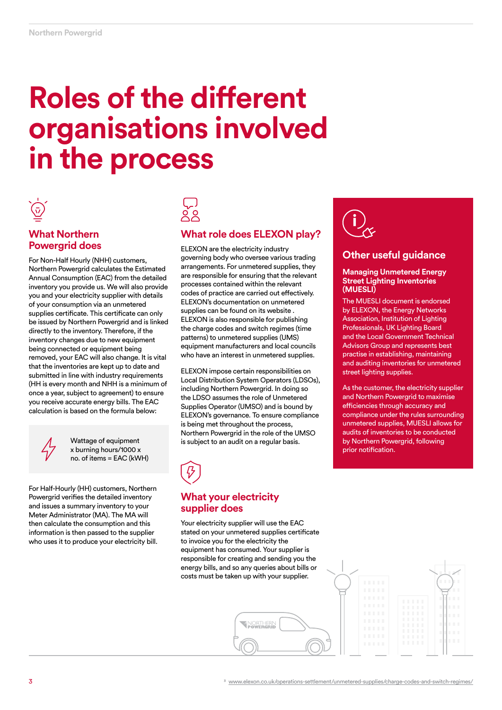# <span id="page-2-0"></span>**Roles of the different organisations involved in the process**



# **What Northern Powergrid does**

For Non-Half Hourly (NHH) customers, Northern Powergrid calculates the Estimated Annual Consumption (EAC) from the detailed inventory you provide us. We will also provide you and your electricity supplier with details of your consumption via an unmetered supplies certificate. This certificate can only be issued by Northern Powergrid and is linked directly to the inventory. Therefore, if the inventory changes due to new equipment being connected or equipment being removed, your EAC will also change. It is vital that the inventories are kept up to date and submitted in line with industry requirements (HH is every month and NHH is a minimum of once a year, subject to agreement) to ensure you receive accurate energy bills. The EAC calculation is based on the formula below:



Wattage of equipment x burning hours/1000 x no. of items = EAC (kWH)

For Half-Hourly (HH) customers, Northern Powergrid verifies the detailed inventory and issues a summary inventory to your Meter Administrator (MA). The MA will then calculate the consumption and this information is then passed to the supplier who uses it to produce your electricity bill.



# **What role does ELEXON play?**

ELEXON are the electricity industry governing body who oversee various trading arrangements. For unmetered supplies, they are responsible for ensuring that the relevant processes contained within the relevant codes of practice are carried out effectively. ELEXON's documentation on unmetered supplies can be found on its website . ELEXON is also responsible for publishing the charge codes and switch regimes (time patterns) to unmetered supplies (UMS) equipment manufacturers and local councils who have an interest in unmetered supplies.

ELEXON impose certain responsibilities on Local Distribution System Operators (LDSOs), including Northern Powergrid. In doing so the LDSO assumes the role of Unmetered Supplies Operator (UMSO) and is bound by ELEXON's governance. To ensure compliance is being met throughout the process, Northern Powergrid in the role of the UMSO is subject to an audit on a regular basis.



# **What your electricity supplier does**

Your electricity supplier will use the EAC stated on your unmetered supplies certificate to invoice you for the electricity the equipment has consumed. Your supplier is responsible for creating and sending you the energy bills, and so any queries about bills or costs must be taken up with your supplier.

**ENORTHERN** 



# **Other useful guidance**

#### **Managing Unmetered Energy Street Lighting Inventories (MUESLI)**

The MUESLI document is endorsed by ELEXON, the Energy Networks Association, Institution of Lighting Professionals, UK Lighting Board and the Local Government Technical Advisors Group and represents best practise in establishing, maintaining and auditing inventories for unmetered street lighting supplies.

As the customer, the electricity supplier and Northern Powergrid to maximise efficiencies through accuracy and compliance under the rules surrounding unmetered supplies, MUESLI allows for audits of inventories to be conducted by Northern Powergrid, following prior notification.

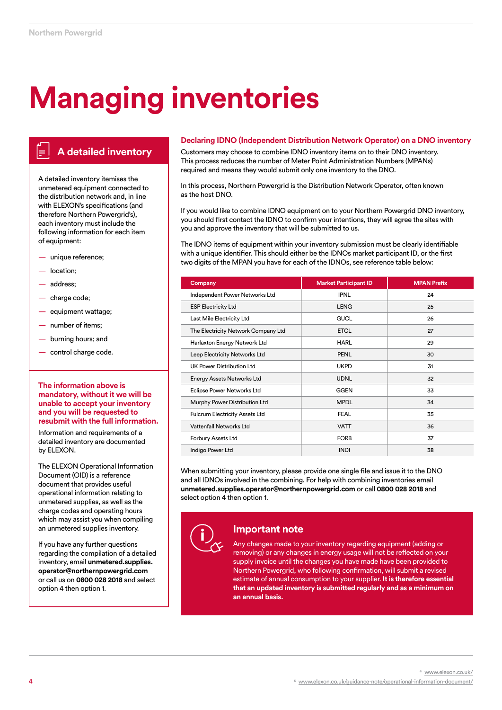# <span id="page-3-0"></span>**Managing inventories**

# **A detailed inventory**

A detailed inventory itemises the unmetered equipment connected to the distribution network and, in line with ELEXON's specifications (and therefore Northern Powergrid's), each inventory must include the following information for each item of equipment:

- unique reference;
- location;
- address;
- charge code;
- equipment wattage;
- number of items;
- burning hours; and
- control charge code.

### **The information above is mandatory, without it we will be unable to accept your inventory and you will be requested to resubmit with the full information.**

Information and requirements of a detailed inventory are documented by ELEXON.

The ELEXON Operational Information Document (OID) is a reference document that provides useful operational information relating to unmetered supplies, as well as the charge codes and operating hours which may assist you when compiling an unmetered supplies inventory.

If you have any further questions regarding the compilation of a detailed inventory, email **unmetered.supplies. operator@northernpowergrid.com** or call us on **0800 028 2018** and select option 4 then option 1.

### **Declaring IDNO (Independent Distribution Network Operator) on a DNO inventory**

Customers may choose to combine IDNO inventory items on to their DNO inventory. This process reduces the number of Meter Point Administration Numbers (MPANs) required and means they would submit only one inventory to the DNO.

In this process, Northern Powergrid is the Distribution Network Operator, often known as the host DNO.

If you would like to combine IDNO equipment on to your Northern Powergrid DNO inventory, you should first contact the IDNO to confirm your intentions, they will agree the sites with you and approve the inventory that will be submitted to us.

The IDNO items of equipment within your inventory submission must be clearly identifiable with a unique identifier. This should either be the IDNOs market participant ID, or the first two digits of the MPAN you have for each of the IDNOs, see reference table below:

| Company                               | <b>Market Participant ID</b> | <b>MPAN Prefix</b> |
|---------------------------------------|------------------------------|--------------------|
| Independent Power Networks Ltd        | <b>IPNL</b>                  | 24                 |
| <b>ESP Electricity Ltd</b>            | <b>LENG</b>                  | 25                 |
| Last Mile Electricity Ltd             | <b>GUCL</b>                  | 26                 |
| The Electricity Network Company Ltd   | <b>ETCL</b>                  | 27                 |
| Harlaxton Energy Network Ltd          | <b>HARL</b>                  | 29                 |
| Leep Electricity Networks Ltd         | <b>PENL</b>                  | 30                 |
| UK Power Distribution Ltd             | <b>UKPD</b>                  | 31                 |
| <b>Energy Assets Networks Ltd</b>     | <b>UDNL</b>                  | 32                 |
| Eclipse Power Networks Ltd            | <b>GGEN</b>                  | 33                 |
| Murphy Power Distribution Ltd         | <b>MPDL</b>                  | 34                 |
| <b>Fulcrum Electricity Assets Ltd</b> | <b>FEAL</b>                  | 35                 |
| Vattenfall Networks Ltd               | <b>VATT</b>                  | 36                 |
| Forbury Assets Ltd                    | <b>FORB</b>                  | 37                 |
| Indigo Power Ltd                      | <b>INDI</b>                  | 38                 |

When submitting your inventory, please provide one single file and issue it to the DNO and all IDNOs involved in the combining. For help with combining inventories email **unmetered.supplies.operator@northernpowergrid.com** or call **0800 028 2018** and select option 4 then option 1.



# **Important note**

Any changes made to your inventory regarding equipment (adding or removing) or any changes in energy usage will not be reflected on your supply invoice until the changes you have made have been provided to Northern Powergrid, who following confirmation, will submit a revised estimate of annual consumption to your supplier. **It is therefore essential that an updated inventory is submitted regularly and as a minimum on an annual basis.**